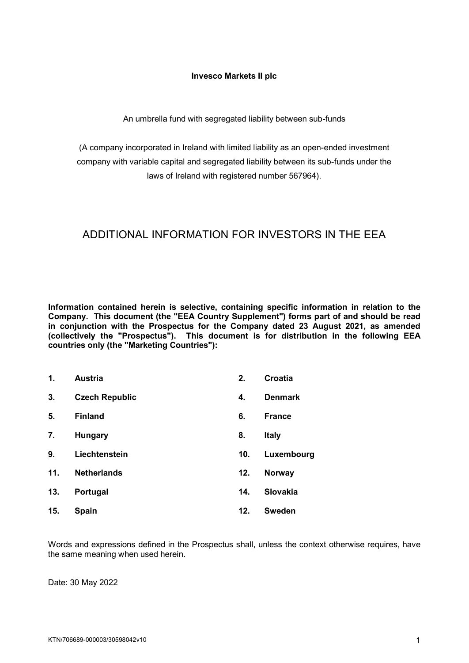#### **Invesco Markets II plc**

An umbrella fund with segregated liability between sub-funds

(A company incorporated in Ireland with limited liability as an open-ended investment company with variable capital and segregated liability between its sub-funds under the laws of Ireland with registered number 567964).

# ADDITIONAL INFORMATION FOR INVESTORS IN THE EEA

**Information contained herein is selective, containing specific information in relation to the Company. This document (the "EEA Country Supplement") forms part of and should be read in conjunction with the Prospectus for the Company dated 23 August 2021, as amended (collectively the "Prospectus"). This document is for distribution in the following EEA countries only (the "Marketing Countries"):**

| 1.  | <b>Austria</b>        | 2.  | <b>Croatia</b> |
|-----|-----------------------|-----|----------------|
| 3.  | <b>Czech Republic</b> | 4.  | <b>Denmark</b> |
| 5.  | <b>Finland</b>        | 6.  | <b>France</b>  |
| 7.  | Hungary               | 8.  | <b>Italy</b>   |
| 9.  | Liechtenstein         | 10. | Luxembourg     |
| 11. | <b>Netherlands</b>    | 12. | Norway         |
| 13. | Portugal              | 14. | Slovakia       |
| 15. | <b>Spain</b>          | 12. | <b>Sweden</b>  |

Words and expressions defined in the Prospectus shall, unless the context otherwise requires, have the same meaning when used herein.

Date: 30 May 2022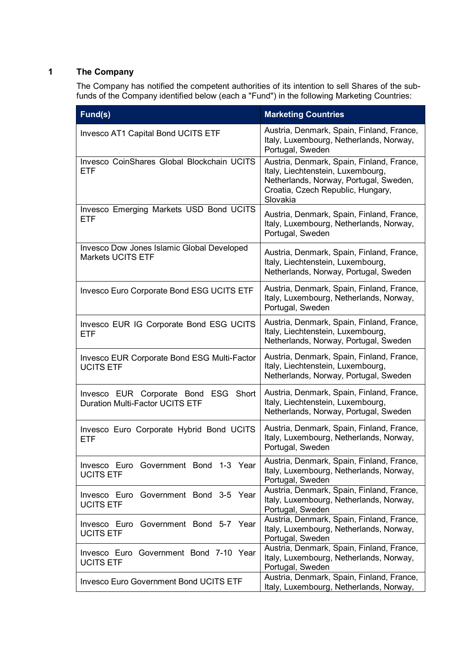# **1 The Company**

The Company has notified the competent authorities of its intention to sell Shares of the subfunds of the Company identified below (each a "Fund") in the following Marketing Countries:

| Fund(s)                                                                        | <b>Marketing Countries</b>                                                                                                                                                |  |
|--------------------------------------------------------------------------------|---------------------------------------------------------------------------------------------------------------------------------------------------------------------------|--|
| Invesco AT1 Capital Bond UCITS ETF                                             | Austria, Denmark, Spain, Finland, France,<br>Italy, Luxembourg, Netherlands, Norway,<br>Portugal, Sweden                                                                  |  |
| Invesco CoinShares Global Blockchain UCITS<br><b>ETF</b>                       | Austria, Denmark, Spain, Finland, France,<br>Italy, Liechtenstein, Luxembourg,<br>Netherlands, Norway, Portugal, Sweden,<br>Croatia, Czech Republic, Hungary,<br>Slovakia |  |
| Invesco Emerging Markets USD Bond UCITS<br><b>ETF</b>                          | Austria, Denmark, Spain, Finland, France,<br>Italy, Luxembourg, Netherlands, Norway,<br>Portugal, Sweden                                                                  |  |
| Invesco Dow Jones Islamic Global Developed<br>Markets UCITS ETF                | Austria, Denmark, Spain, Finland, France,<br>Italy, Liechtenstein, Luxembourg,<br>Netherlands, Norway, Portugal, Sweden                                                   |  |
| <b>Invesco Euro Corporate Bond ESG UCITS ETF</b>                               | Austria, Denmark, Spain, Finland, France,<br>Italy, Luxembourg, Netherlands, Norway,<br>Portugal, Sweden                                                                  |  |
| Invesco EUR IG Corporate Bond ESG UCITS<br><b>ETF</b>                          | Austria, Denmark, Spain, Finland, France,<br>Italy, Liechtenstein, Luxembourg,<br>Netherlands, Norway, Portugal, Sweden                                                   |  |
| <b>Invesco EUR Corporate Bond ESG Multi-Factor</b><br><b>UCITS ETF</b>         | Austria, Denmark, Spain, Finland, France,<br>Italy, Liechtenstein, Luxembourg,<br>Netherlands, Norway, Portugal, Sweden                                                   |  |
| Invesco EUR Corporate Bond ESG Short<br><b>Duration Multi-Factor UCITS ETF</b> | Austria, Denmark, Spain, Finland, France,<br>Italy, Liechtenstein, Luxembourg,<br>Netherlands, Norway, Portugal, Sweden                                                   |  |
| Invesco Euro Corporate Hybrid Bond UCITS<br>ETF                                | Austria, Denmark, Spain, Finland, France,<br>Italy, Luxembourg, Netherlands, Norway,<br>Portugal, Sweden                                                                  |  |
| Invesco Euro Government Bond 1-3 Year<br><b>UCITS ETF</b>                      | Austria, Denmark, Spain, Finland, France,<br>Italy, Luxembourg, Netherlands, Norway,<br>Portugal, Sweden                                                                  |  |
| Invesco Euro Government Bond 3-5 Year<br><b>UCITS ETF</b>                      | Austria, Denmark, Spain, Finland, France,<br>Italy, Luxembourg, Netherlands, Norway,<br>Portugal, Sweden                                                                  |  |
| Invesco Euro Government Bond 5-7 Year<br><b>UCITS ETF</b>                      | Austria, Denmark, Spain, Finland, France,<br>Italy, Luxembourg, Netherlands, Norway,<br>Portugal, Sweden                                                                  |  |
| Invesco Euro Government Bond 7-10 Year<br><b>UCITS ETF</b>                     | Austria, Denmark, Spain, Finland, France,<br>Italy, Luxembourg, Netherlands, Norway,<br>Portugal, Sweden                                                                  |  |
| <b>Invesco Euro Government Bond UCITS ETF</b>                                  | Austria, Denmark, Spain, Finland, France,<br>Italy, Luxembourg, Netherlands, Norway,                                                                                      |  |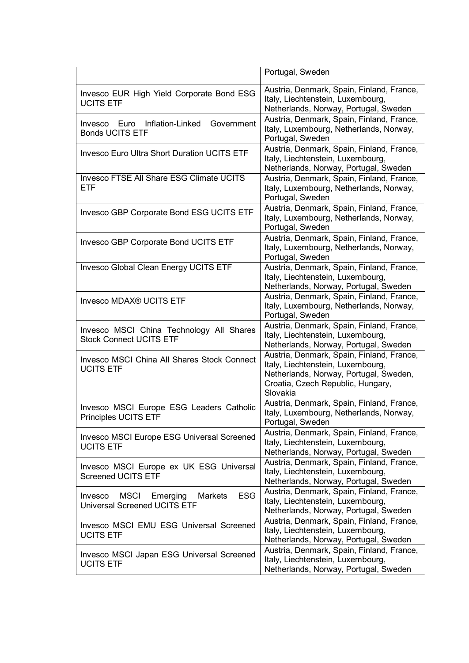|                                                                                             | Portugal, Sweden                                                                                                                                                          |
|---------------------------------------------------------------------------------------------|---------------------------------------------------------------------------------------------------------------------------------------------------------------------------|
| Invesco EUR High Yield Corporate Bond ESG<br><b>UCITS ETF</b>                               | Austria, Denmark, Spain, Finland, France,<br>Italy, Liechtenstein, Luxembourg,<br>Netherlands, Norway, Portugal, Sweden                                                   |
| Inflation-Linked<br>Government<br>Euro<br>Invesco<br><b>Bonds UCITS ETF</b>                 | Austria, Denmark, Spain, Finland, France,<br>Italy, Luxembourg, Netherlands, Norway,<br>Portugal, Sweden                                                                  |
| <b>Invesco Euro Ultra Short Duration UCITS ETF</b>                                          | Austria, Denmark, Spain, Finland, France,<br>Italy, Liechtenstein, Luxembourg,<br>Netherlands, Norway, Portugal, Sweden                                                   |
| Invesco FTSE All Share ESG Climate UCITS<br><b>ETF</b>                                      | Austria, Denmark, Spain, Finland, France,<br>Italy, Luxembourg, Netherlands, Norway,<br>Portugal, Sweden                                                                  |
| Invesco GBP Corporate Bond ESG UCITS ETF                                                    | Austria, Denmark, Spain, Finland, France,<br>Italy, Luxembourg, Netherlands, Norway,<br>Portugal, Sweden                                                                  |
| Invesco GBP Corporate Bond UCITS ETF                                                        | Austria, Denmark, Spain, Finland, France,<br>Italy, Luxembourg, Netherlands, Norway,<br>Portugal, Sweden                                                                  |
| Invesco Global Clean Energy UCITS ETF                                                       | Austria, Denmark, Spain, Finland, France,<br>Italy, Liechtenstein, Luxembourg,<br>Netherlands, Norway, Portugal, Sweden                                                   |
| Invesco MDAX® UCITS ETF                                                                     | Austria, Denmark, Spain, Finland, France,<br>Italy, Luxembourg, Netherlands, Norway,<br>Portugal, Sweden                                                                  |
| Invesco MSCI China Technology All Shares<br><b>Stock Connect UCITS ETF</b>                  | Austria, Denmark, Spain, Finland, France,<br>Italy, Liechtenstein, Luxembourg,<br>Netherlands, Norway, Portugal, Sweden                                                   |
| <b>Invesco MSCI China All Shares Stock Connect</b><br><b>UCITS ETF</b>                      | Austria, Denmark, Spain, Finland, France,<br>Italy, Liechtenstein, Luxembourg,<br>Netherlands, Norway, Portugal, Sweden,<br>Croatia, Czech Republic, Hungary,<br>Slovakia |
| Invesco MSCI Europe ESG Leaders Catholic<br>Principles UCITS ETF                            | Austria, Denmark, Spain, Finland, France,<br>Italy, Luxembourg, Netherlands, Norway,<br>Portugal, Sweden                                                                  |
| <b>Invesco MSCI Europe ESG Universal Screened</b><br><b>UCITS ETF</b>                       | Austria, Denmark, Spain, Finland, France,<br>Italy, Liechtenstein, Luxembourg,<br>Netherlands, Norway, Portugal, Sweden                                                   |
| Invesco MSCI Europe ex UK ESG Universal<br><b>Screened UCITS ETF</b>                        | Austria, Denmark, Spain, Finland, France,<br>Italy, Liechtenstein, Luxembourg,<br>Netherlands, Norway, Portugal, Sweden                                                   |
| <b>ESG</b><br>MSCI<br>Emerging<br>Markets<br>Invesco<br><b>Universal Screened UCITS ETF</b> | Austria, Denmark, Spain, Finland, France,<br>Italy, Liechtenstein, Luxembourg,<br>Netherlands, Norway, Portugal, Sweden                                                   |
| Invesco MSCI EMU ESG Universal Screened<br><b>UCITS ETF</b>                                 | Austria, Denmark, Spain, Finland, France,<br>Italy, Liechtenstein, Luxembourg,<br>Netherlands, Norway, Portugal, Sweden                                                   |
| Invesco MSCI Japan ESG Universal Screened<br><b>UCITS ETF</b>                               | Austria, Denmark, Spain, Finland, France,<br>Italy, Liechtenstein, Luxembourg,<br>Netherlands, Norway, Portugal, Sweden                                                   |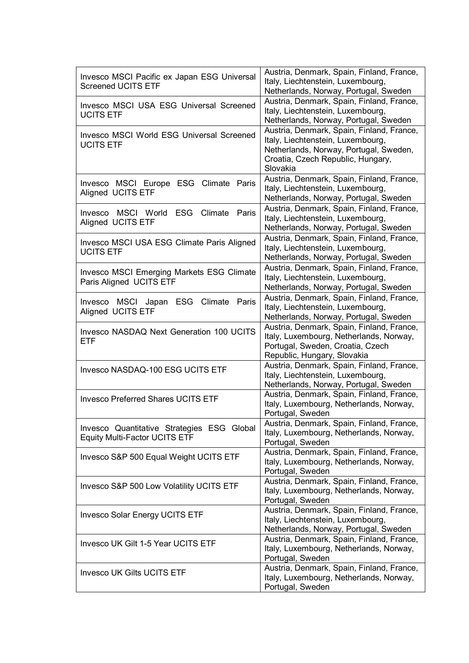| Invesco MSCI Pacific ex Japan ESG Universal<br><b>Screened UCITS ETF</b>           | Austria, Denmark, Spain, Finland, France,<br>Italy, Liechtenstein, Luxembourg,<br>Netherlands, Norway, Portugal, Sweden                                                   |  |
|------------------------------------------------------------------------------------|---------------------------------------------------------------------------------------------------------------------------------------------------------------------------|--|
| Invesco MSCI USA ESG Universal Screened<br><b>UCITS ETF</b>                        | Austria, Denmark, Spain, Finland, France,<br>Italy, Liechtenstein, Luxembourg,<br>Netherlands, Norway, Portugal, Sweden                                                   |  |
| Invesco MSCI World ESG Universal Screened<br><b>UCITS ETF</b>                      | Austria, Denmark, Spain, Finland, France,<br>Italy, Liechtenstein, Luxembourg,<br>Netherlands, Norway, Portugal, Sweden,<br>Croatia, Czech Republic, Hungary,<br>Slovakia |  |
| Invesco MSCI Europe ESG Climate Paris<br>Aligned UCITS ETF                         | Austria, Denmark, Spain, Finland, France,<br>Italy, Liechtenstein, Luxembourg,<br>Netherlands, Norway, Portugal, Sweden                                                   |  |
| Invesco MSCI World ESG<br>Climate<br>Paris<br>Aligned UCITS ETF                    | Austria, Denmark, Spain, Finland, France,<br>Italy, Liechtenstein, Luxembourg,<br>Netherlands, Norway, Portugal, Sweden                                                   |  |
| Invesco MSCI USA ESG Climate Paris Aligned<br><b>UCITS ETF</b>                     | Austria, Denmark, Spain, Finland, France,<br>Italy, Liechtenstein, Luxembourg,<br>Netherlands, Norway, Portugal, Sweden                                                   |  |
| <b>Invesco MSCI Emerging Markets ESG Climate</b><br>Paris Aligned UCITS ETF        | Austria, Denmark, Spain, Finland, France,<br>Italy, Liechtenstein, Luxembourg,<br>Netherlands, Norway, Portugal, Sweden                                                   |  |
| Invesco MSCI Japan ESG Climate<br>Paris<br>Aligned UCITS ETF                       | Austria, Denmark, Spain, Finland, France,<br>Italy, Liechtenstein, Luxembourg,<br>Netherlands, Norway, Portugal, Sweden                                                   |  |
| <b>Invesco NASDAQ Next Generation 100 UCITS</b><br><b>ETF</b>                      | Austria, Denmark, Spain, Finland, France,<br>Italy, Luxembourg, Netherlands, Norway,<br>Portugal, Sweden, Croatia, Czech<br>Republic, Hungary, Slovakia                   |  |
| Invesco NASDAQ-100 ESG UCITS ETF                                                   | Austria, Denmark, Spain, Finland, France,<br>Italy, Liechtenstein, Luxembourg,<br>Netherlands, Norway, Portugal, Sweden                                                   |  |
| <b>Invesco Preferred Shares UCITS ETF</b>                                          | Austria, Denmark, Spain, Finland, France,<br>Italy, Luxembourg, Netherlands, Norway,<br>Portugal, Sweden                                                                  |  |
| Invesco Quantitative Strategies ESG Global<br><b>Equity Multi-Factor UCITS ETF</b> | Austria, Denmark, Spain, Finland, France,<br>Italy, Luxembourg, Netherlands, Norway,<br>Portugal, Sweden                                                                  |  |
| Invesco S&P 500 Equal Weight UCITS ETF                                             | Austria, Denmark, Spain, Finland, France,<br>Italy, Luxembourg, Netherlands, Norway,<br>Portugal, Sweden                                                                  |  |
| Invesco S&P 500 Low Volatility UCITS ETF                                           | Austria, Denmark, Spain, Finland, France,<br>Italy, Luxembourg, Netherlands, Norway,<br>Portugal, Sweden                                                                  |  |
| <b>Invesco Solar Energy UCITS ETF</b>                                              | Austria, Denmark, Spain, Finland, France,<br>Italy, Liechtenstein, Luxembourg,<br>Netherlands, Norway, Portugal, Sweden                                                   |  |
| Invesco UK Gilt 1-5 Year UCITS ETF                                                 | Austria, Denmark, Spain, Finland, France,<br>Italy, Luxembourg, Netherlands, Norway,<br>Portugal, Sweden                                                                  |  |
| <b>Invesco UK Gilts UCITS ETF</b>                                                  | Austria, Denmark, Spain, Finland, France,<br>Italy, Luxembourg, Netherlands, Norway,<br>Portugal, Sweden                                                                  |  |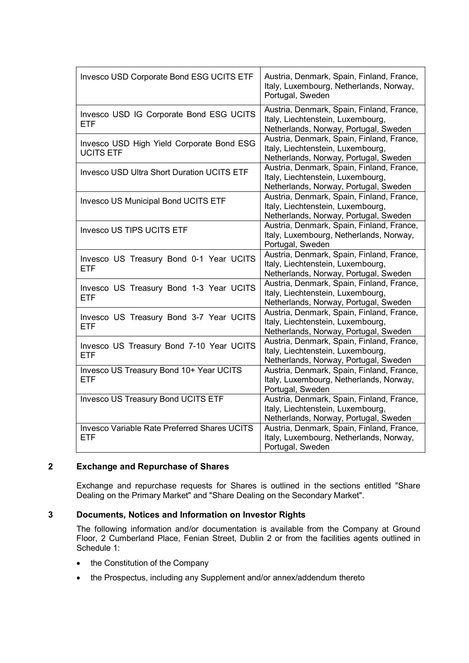| Invesco USD Corporate Bond ESG UCITS ETF                          | Austria, Denmark, Spain, Finland, France,<br>Italy, Luxembourg, Netherlands, Norway,<br>Portugal, Sweden                                                                                                                                           |  |
|-------------------------------------------------------------------|----------------------------------------------------------------------------------------------------------------------------------------------------------------------------------------------------------------------------------------------------|--|
| Invesco USD IG Corporate Bond ESG UCITS<br><b>ETF</b>             | Austria, Denmark, Spain, Finland, France,<br>Italy, Liechtenstein, Luxembourg,<br>Netherlands, Norway, Portugal, Sweden                                                                                                                            |  |
| Invesco USD High Yield Corporate Bond ESG<br><b>UCITS ETF</b>     | Austria, Denmark, Spain, Finland, France,<br>Italy, Liechtenstein, Luxembourg,<br>Netherlands, Norway, Portugal, Sweden<br>Austria, Denmark, Spain, Finland, France,<br>Italy, Liechtenstein, Luxembourg,<br>Netherlands, Norway, Portugal, Sweden |  |
| <b>Invesco USD Ultra Short Duration UCITS ETF</b>                 |                                                                                                                                                                                                                                                    |  |
| <b>Invesco US Municipal Bond UCITS ETF</b>                        | Austria, Denmark, Spain, Finland, France,<br>Italy, Liechtenstein, Luxembourg,<br>Netherlands, Norway, Portugal, Sweden                                                                                                                            |  |
| <b>Invesco US TIPS UCITS ETF</b>                                  | Austria, Denmark, Spain, Finland, France,<br>Italy, Luxembourg, Netherlands, Norway,<br>Portugal, Sweden                                                                                                                                           |  |
| Invesco US Treasury Bond 0-1 Year UCITS<br><b>ETF</b>             | Austria, Denmark, Spain, Finland, France,<br>Italy, Liechtenstein, Luxembourg,<br>Netherlands, Norway, Portugal, Sweden                                                                                                                            |  |
| Invesco US Treasury Bond 1-3 Year UCITS<br><b>ETF</b>             | Austria, Denmark, Spain, Finland, France,<br>Italy, Liechtenstein, Luxembourg,<br>Netherlands, Norway, Portugal, Sweden                                                                                                                            |  |
| Invesco US Treasury Bond 3-7 Year UCITS<br><b>ETF</b>             | Austria, Denmark, Spain, Finland, France,<br>Italy, Liechtenstein, Luxembourg,<br>Netherlands, Norway, Portugal, Sweden                                                                                                                            |  |
| Invesco US Treasury Bond 7-10 Year UCITS<br><b>ETF</b>            | Austria, Denmark, Spain, Finland, France,<br>Italy, Liechtenstein, Luxembourg,<br>Netherlands, Norway, Portugal, Sweden                                                                                                                            |  |
| Invesco US Treasury Bond 10+ Year UCITS<br><b>ETF</b>             | Austria, Denmark, Spain, Finland, France,<br>Italy, Luxembourg, Netherlands, Norway,<br>Portugal, Sweden                                                                                                                                           |  |
| Invesco US Treasury Bond UCITS ETF                                | Austria, Denmark, Spain, Finland, France,<br>Italy, Liechtenstein, Luxembourg,<br>Netherlands, Norway, Portugal, Sweden                                                                                                                            |  |
| <b>Invesco Variable Rate Preferred Shares UCITS</b><br><b>ETF</b> | Austria, Denmark, Spain, Finland, France,<br>Italy, Luxembourg, Netherlands, Norway,<br>Portugal, Sweden                                                                                                                                           |  |

#### **2 Exchange and Repurchase of Shares**

Exchange and repurchase requests for Shares is outlined in the sections entitled "Share Dealing on the Primary Market" and "Share Dealing on the Secondary Market".

### **3 Documents, Notices and Information on Investor Rights**

The following information and/or documentation is available from the Company at Ground Floor, 2 Cumberland Place, Fenian Street, Dublin 2 or from the facilities agents outlined in Schedule 1:

- the Constitution of the Company
- the Prospectus, including any Supplement and/or annex/addendum thereto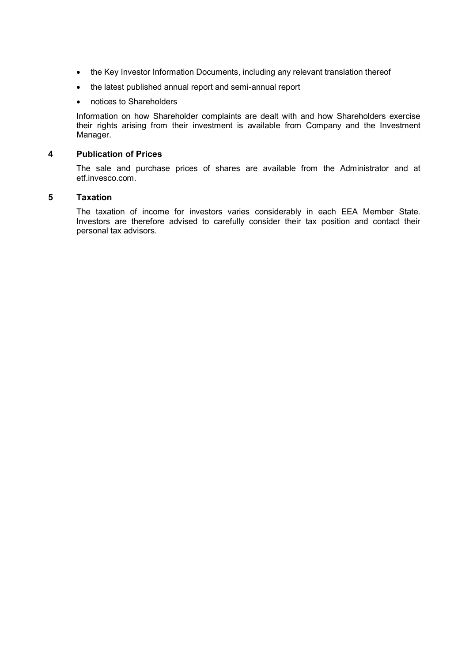- the Key Investor Information Documents, including any relevant translation thereof
- the latest published annual report and semi-annual report
- notices to Shareholders

Information on how Shareholder complaints are dealt with and how Shareholders exercise their rights arising from their investment is available from Company and the Investment Manager.

#### **4 Publication of Prices**

The sale and purchase prices of shares are available from the Administrator and at etf.invesco.com.

#### **5 Taxation**

The taxation of income for investors varies considerably in each EEA Member State. Investors are therefore advised to carefully consider their tax position and contact their personal tax advisors.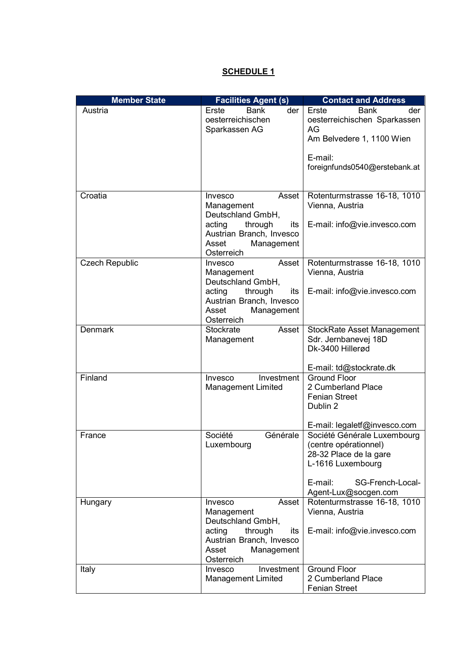## **SCHEDULE 1**

| <b>Member State</b>   | <b>Facilities Agent (s)</b>                                                                                                                        | <b>Contact and Address</b>                                                                                                                                 |  |
|-----------------------|----------------------------------------------------------------------------------------------------------------------------------------------------|------------------------------------------------------------------------------------------------------------------------------------------------------------|--|
| Austria               | <b>Bank</b><br>der<br>Erste<br>oesterreichischen<br>Sparkassen AG                                                                                  | Erste<br>Bank<br>der<br>oesterreichischen Sparkassen<br>AG<br>Am Belvedere 1, 1100 Wien<br>E-mail:<br>foreignfunds0540@erstebank.at                        |  |
| Croatia               | Invesco<br>Asset  <br>Management<br>Deutschland GmbH,<br>acting<br>through<br>its<br>Austrian Branch, Invesco<br>Asset<br>Management<br>Osterreich | Rotenturmstrasse 16-18, 1010<br>Vienna, Austria<br>E-mail: info@vie.invesco.com                                                                            |  |
| <b>Czech Republic</b> | Asset<br>Invesco<br>Management<br>Deutschland GmbH,<br>acting<br>through<br>its<br>Austrian Branch, Invesco<br>Management<br>Asset<br>Osterreich   | Rotenturmstrasse 16-18, 1010<br>Vienna, Austria<br>E-mail: info@vie.invesco.com                                                                            |  |
| <b>Denmark</b>        | Stockrate<br>Asset<br>Management                                                                                                                   | <b>StockRate Asset Management</b><br>Sdr. Jernbanevej 18D<br>Dk-3400 Hillerød<br>E-mail: td@stockrate.dk                                                   |  |
| Finland               | Invesco<br>Investment<br><b>Management Limited</b>                                                                                                 | <b>Ground Floor</b><br>2 Cumberland Place<br><b>Fenian Street</b><br>Dublin 2<br>E-mail: legaletf@invesco.com                                              |  |
| France                | Société<br>Générale<br>Luxembourg                                                                                                                  | Société Générale Luxembourg<br>(centre opérationnel)<br>28-32 Place de la gare<br>L-1616 Luxembourg<br>E-mail:<br>SG-French-Local-<br>Agent-Lux@socgen.com |  |
| Hungary               | Invesco<br>Asset<br>Management<br>Deutschland GmbH,<br>acting<br>through<br>its<br>Austrian Branch, Invesco<br>Asset<br>Management<br>Osterreich   | Rotenturmstrasse 16-18, 1010<br>Vienna, Austria<br>E-mail: info@vie.invesco.com                                                                            |  |
| Italy                 | Investment<br>Invesco<br><b>Management Limited</b>                                                                                                 | <b>Ground Floor</b><br>2 Cumberland Place<br><b>Fenian Street</b>                                                                                          |  |